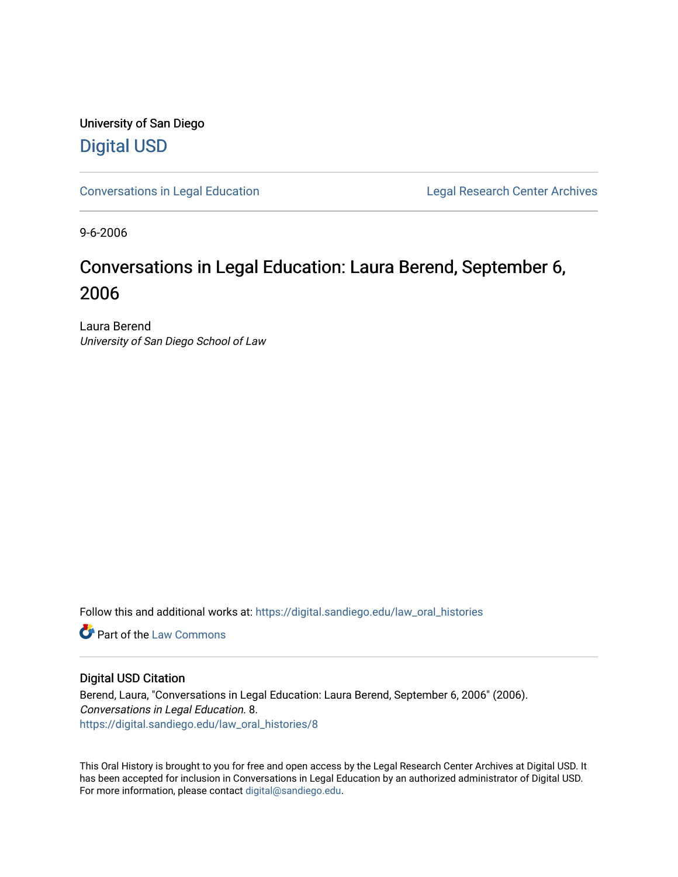University of San Diego [Digital USD](https://digital.sandiego.edu/)

[Conversations in Legal Education](https://digital.sandiego.edu/law_oral_histories) **Legal Research Center Archives** 

9-6-2006

# Conversations in Legal Education: Laura Berend, September 6, 2006

Laura Berend University of San Diego School of Law

Follow this and additional works at: [https://digital.sandiego.edu/law\\_oral\\_histories](https://digital.sandiego.edu/law_oral_histories?utm_source=digital.sandiego.edu%2Flaw_oral_histories%2F8&utm_medium=PDF&utm_campaign=PDFCoverPages) 

**C** Part of the [Law Commons](http://network.bepress.com/hgg/discipline/578?utm_source=digital.sandiego.edu%2Flaw_oral_histories%2F8&utm_medium=PDF&utm_campaign=PDFCoverPages)

#### Digital USD Citation

Berend, Laura, "Conversations in Legal Education: Laura Berend, September 6, 2006" (2006). Conversations in Legal Education. 8. [https://digital.sandiego.edu/law\\_oral\\_histories/8](https://digital.sandiego.edu/law_oral_histories/8?utm_source=digital.sandiego.edu%2Flaw_oral_histories%2F8&utm_medium=PDF&utm_campaign=PDFCoverPages)

This Oral History is brought to you for free and open access by the Legal Research Center Archives at Digital USD. It has been accepted for inclusion in Conversations in Legal Education by an authorized administrator of Digital USD. For more information, please contact [digital@sandiego.edu](mailto:digital@sandiego.edu).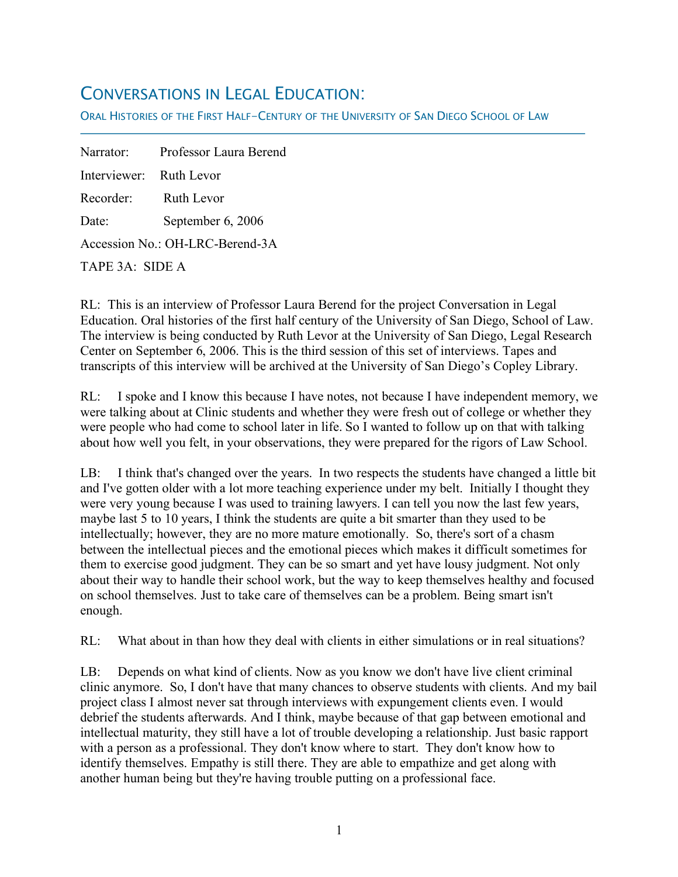## CONVERSATIONS IN LEGAL EDUCATION:

ORAL HISTORIES OF THE FIRST HALF-CENTURY OF THE UNIVERSITY OF SAN DIEGO SCHOOL OF LAW

Narrator: Professor Laura Berend Interviewer: Ruth Levor Recorder: Ruth Levor Date: September 6, 2006 Accession No.: OH-LRC-Berend-3A

TAPE 3A: SIDE A

f

RL: This is an interview of Professor Laura Berend for the project Conversation in Legal Education. Oral histories of the first half century of the University of San Diego, School of Law. The interview is being conducted by Ruth Levor at the University of San Diego, Legal Research Center on September 6, 2006. This is the third session of this set of interviews. Tapes and transcripts of this interview will be archived at the University of San Diego's Copley Library.

RL: I spoke and I know this because I have notes, not because I have independent memory, we were talking about at Clinic students and whether they were fresh out of college or whether they were people who had come to school later in life. So I wanted to follow up on that with talking about how well you felt, in your observations, they were prepared for the rigors of Law School.

LB: I think that's changed over the years. In two respects the students have changed a little bit and I've gotten older with a lot more teaching experience under my belt. Initially I thought they were very young because I was used to training lawyers. I can tell you now the last few years, maybe last 5 to 10 years, I think the students are quite a bit smarter than they used to be intellectually; however, they are no more mature emotionally. So, there's sort of a chasm between the intellectual pieces and the emotional pieces which makes it difficult sometimes for them to exercise good judgment. They can be so smart and yet have lousy judgment. Not only about their way to handle their school work, but the way to keep themselves healthy and focused on school themselves. Just to take care of themselves can be a problem. Being smart isn't enough.

RL: What about in than how they deal with clients in either simulations or in real situations?

LB: Depends on what kind of clients. Now as you know we don't have live client criminal clinic anymore. So, I don't have that many chances to observe students with clients. And my bail project class I almost never sat through interviews with expungement clients even. I would debrief the students afterwards. And I think, maybe because of that gap between emotional and intellectual maturity, they still have a lot of trouble developing a relationship. Just basic rapport with a person as a professional. They don't know where to start. They don't know how to identify themselves. Empathy is still there. They are able to empathize and get along with another human being but they're having trouble putting on a professional face.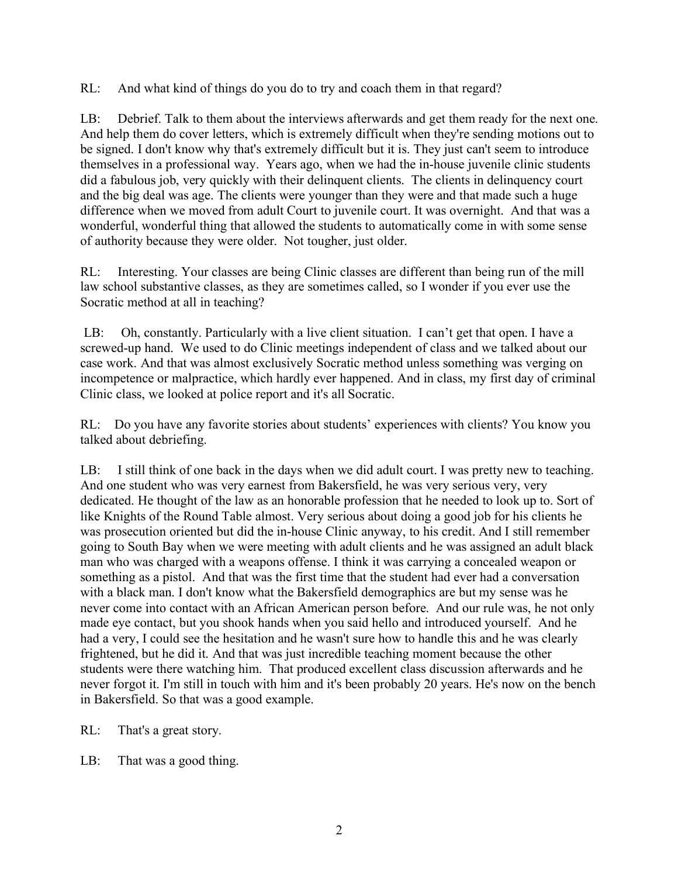RL: And what kind of things do you do to try and coach them in that regard?

LB: Debrief. Talk to them about the interviews afterwards and get them ready for the next one. And help them do cover letters, which is extremely difficult when they're sending motions out to be signed. I don't know why that's extremely difficult but it is. They just can't seem to introduce themselves in a professional way. Years ago, when we had the in-house juvenile clinic students did a fabulous job, very quickly with their delinquent clients. The clients in delinquency court and the big deal was age. The clients were younger than they were and that made such a huge difference when we moved from adult Court to juvenile court. It was overnight. And that was a wonderful, wonderful thing that allowed the students to automatically come in with some sense of authority because they were older. Not tougher, just older.

RL: Interesting. Your classes are being Clinic classes are different than being run of the mill law school substantive classes, as they are sometimes called, so I wonder if you ever use the Socratic method at all in teaching?

LB: Oh, constantly. Particularly with a live client situation. I can't get that open. I have a screwed-up hand. We used to do Clinic meetings independent of class and we talked about our case work. And that was almost exclusively Socratic method unless something was verging on incompetence or malpractice, which hardly ever happened. And in class, my first day of criminal Clinic class, we looked at police report and it's all Socratic.

RL: Do you have any favorite stories about students' experiences with clients? You know you talked about debriefing.

LB: I still think of one back in the days when we did adult court. I was pretty new to teaching. And one student who was very earnest from Bakersfield, he was very serious very, very dedicated. He thought of the law as an honorable profession that he needed to look up to. Sort of like Knights of the Round Table almost. Very serious about doing a good job for his clients he was prosecution oriented but did the in-house Clinic anyway, to his credit. And I still remember going to South Bay when we were meeting with adult clients and he was assigned an adult black man who was charged with a weapons offense. I think it was carrying a concealed weapon or something as a pistol. And that was the first time that the student had ever had a conversation with a black man. I don't know what the Bakersfield demographics are but my sense was he never come into contact with an African American person before. And our rule was, he not only made eye contact, but you shook hands when you said hello and introduced yourself. And he had a very, I could see the hesitation and he wasn't sure how to handle this and he was clearly frightened, but he did it. And that was just incredible teaching moment because the other students were there watching him. That produced excellent class discussion afterwards and he never forgot it. I'm still in touch with him and it's been probably 20 years. He's now on the bench in Bakersfield. So that was a good example.

RL: That's a great story.

LB: That was a good thing.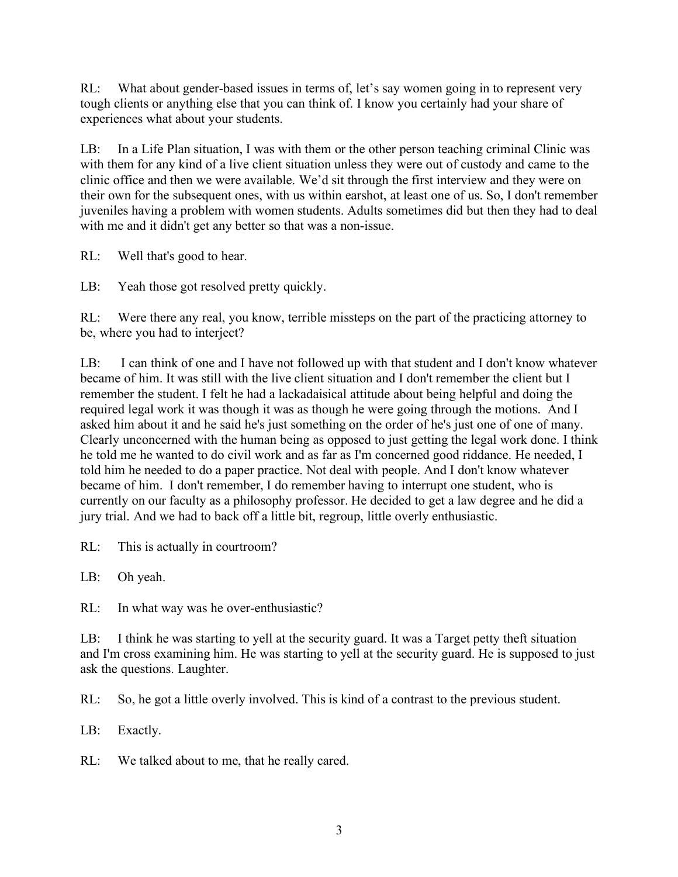RL: What about gender-based issues in terms of, let's say women going in to represent very tough clients or anything else that you can think of. I know you certainly had your share of experiences what about your students.

LB: In a Life Plan situation, I was with them or the other person teaching criminal Clinic was with them for any kind of a live client situation unless they were out of custody and came to the clinic office and then we were available. We'd sit through the first interview and they were on their own for the subsequent ones, with us within earshot, at least one of us. So, I don't remember juveniles having a problem with women students. Adults sometimes did but then they had to deal with me and it didn't get any better so that was a non-issue.

RL: Well that's good to hear.

LB: Yeah those got resolved pretty quickly.

RL: Were there any real, you know, terrible missteps on the part of the practicing attorney to be, where you had to interject?

LB: I can think of one and I have not followed up with that student and I don't know whatever became of him. It was still with the live client situation and I don't remember the client but I remember the student. I felt he had a lackadaisical attitude about being helpful and doing the required legal work it was though it was as though he were going through the motions. And I asked him about it and he said he's just something on the order of he's just one of one of many. Clearly unconcerned with the human being as opposed to just getting the legal work done. I think he told me he wanted to do civil work and as far as I'm concerned good riddance. He needed, I told him he needed to do a paper practice. Not deal with people. And I don't know whatever became of him. I don't remember, I do remember having to interrupt one student, who is currently on our faculty as a philosophy professor. He decided to get a law degree and he did a jury trial. And we had to back off a little bit, regroup, little overly enthusiastic.

RL: This is actually in courtroom?

LB: Oh yeah.

RL: In what way was he over-enthusiastic?

LB: I think he was starting to yell at the security guard. It was a Target petty theft situation and I'm cross examining him. He was starting to yell at the security guard. He is supposed to just ask the questions. Laughter.

RL: So, he got a little overly involved. This is kind of a contrast to the previous student.

LB: Exactly.

RL: We talked about to me, that he really cared.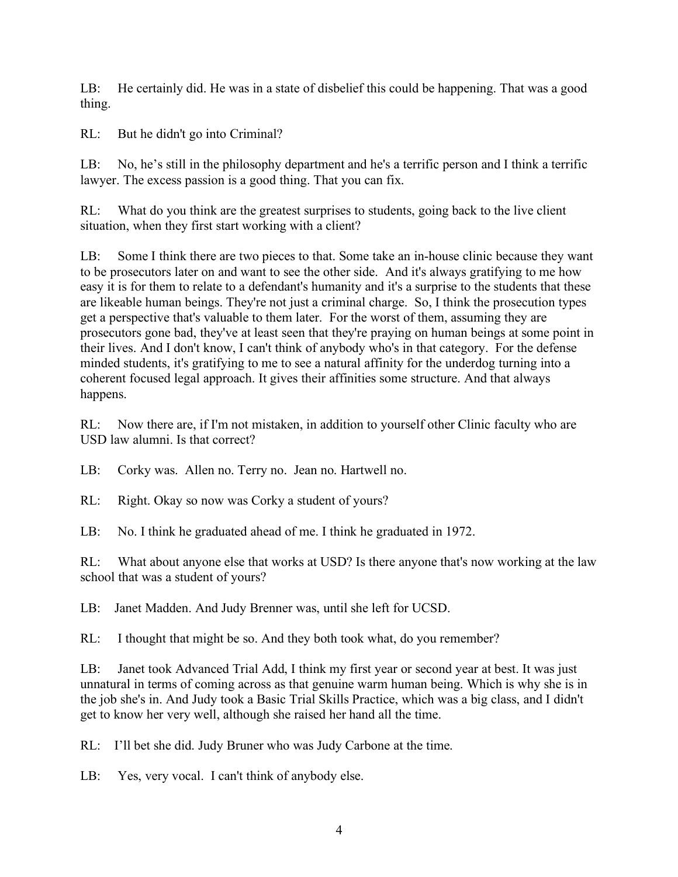LB: He certainly did. He was in a state of disbelief this could be happening. That was a good thing.

RL: But he didn't go into Criminal?

LB: No, he's still in the philosophy department and he's a terrific person and I think a terrific lawyer. The excess passion is a good thing. That you can fix.

RL: What do you think are the greatest surprises to students, going back to the live client situation, when they first start working with a client?

LB: Some I think there are two pieces to that. Some take an in-house clinic because they want to be prosecutors later on and want to see the other side. And it's always gratifying to me how easy it is for them to relate to a defendant's humanity and it's a surprise to the students that these are likeable human beings. They're not just a criminal charge. So, I think the prosecution types get a perspective that's valuable to them later. For the worst of them, assuming they are prosecutors gone bad, they've at least seen that they're praying on human beings at some point in their lives. And I don't know, I can't think of anybody who's in that category. For the defense minded students, it's gratifying to me to see a natural affinity for the underdog turning into a coherent focused legal approach. It gives their affinities some structure. And that always happens.

RL: Now there are, if I'm not mistaken, in addition to yourself other Clinic faculty who are USD law alumni. Is that correct?

LB: Corky was. Allen no. Terry no. Jean no. Hartwell no.

RL: Right. Okay so now was Corky a student of yours?

LB: No. I think he graduated ahead of me. I think he graduated in 1972.

RL: What about anyone else that works at USD? Is there anyone that's now working at the law school that was a student of yours?

LB: Janet Madden. And Judy Brenner was, until she left for UCSD.

RL: I thought that might be so. And they both took what, do you remember?

LB: Janet took Advanced Trial Add, I think my first year or second year at best. It was just unnatural in terms of coming across as that genuine warm human being. Which is why she is in the job she's in. And Judy took a Basic Trial Skills Practice, which was a big class, and I didn't get to know her very well, although she raised her hand all the time.

RL: I'll bet she did. Judy Bruner who was Judy Carbone at the time.

LB: Yes, very vocal. I can't think of anybody else.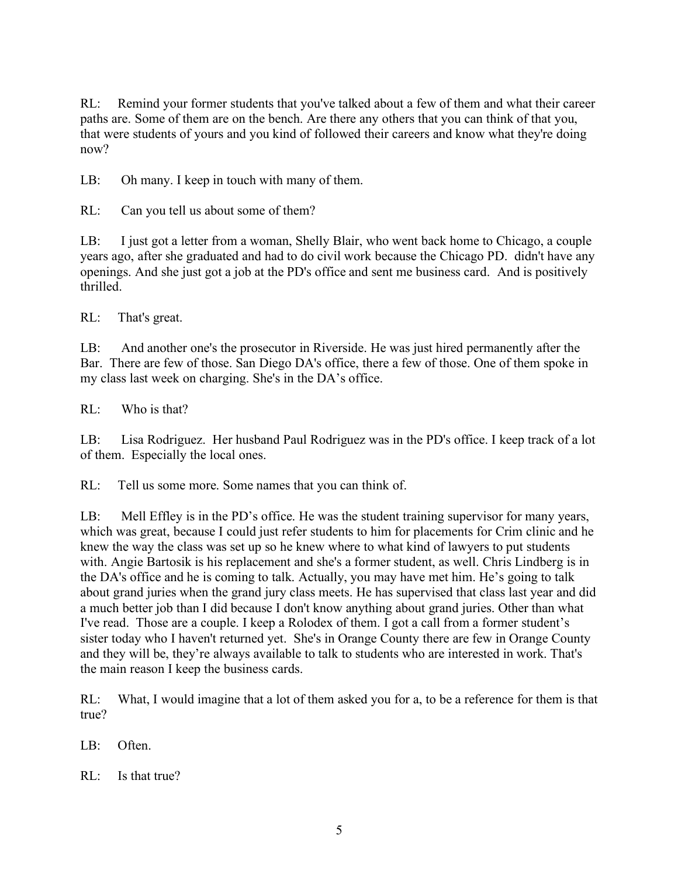RL: Remind your former students that you've talked about a few of them and what their career paths are. Some of them are on the bench. Are there any others that you can think of that you, that were students of yours and you kind of followed their careers and know what they're doing now?

LB: Oh many. I keep in touch with many of them.

RL: Can you tell us about some of them?

LB: I just got a letter from a woman, Shelly Blair, who went back home to Chicago, a couple years ago, after she graduated and had to do civil work because the Chicago PD. didn't have any openings. And she just got a job at the PD's office and sent me business card. And is positively thrilled.

RL: That's great.

LB: And another one's the prosecutor in Riverside. He was just hired permanently after the Bar. There are few of those. San Diego DA's office, there a few of those. One of them spoke in my class last week on charging. She's in the DA's office.

RL: Who is that?

LB: Lisa Rodriguez. Her husband Paul Rodriguez was in the PD's office. I keep track of a lot of them. Especially the local ones.

RL: Tell us some more. Some names that you can think of.

LB: Mell Effley is in the PD's office. He was the student training supervisor for many years, which was great, because I could just refer students to him for placements for Crim clinic and he knew the way the class was set up so he knew where to what kind of lawyers to put students with. Angie Bartosik is his replacement and she's a former student, as well. Chris Lindberg is in the DA's office and he is coming to talk. Actually, you may have met him. He's going to talk about grand juries when the grand jury class meets. He has supervised that class last year and did a much better job than I did because I don't know anything about grand juries. Other than what I've read. Those are a couple. I keep a Rolodex of them. I got a call from a former student's sister today who I haven't returned yet. She's in Orange County there are few in Orange County and they will be, they're always available to talk to students who are interested in work. That's the main reason I keep the business cards.

RL: What, I would imagine that a lot of them asked you for a, to be a reference for them is that true?

LB: Often.

RL: Is that true?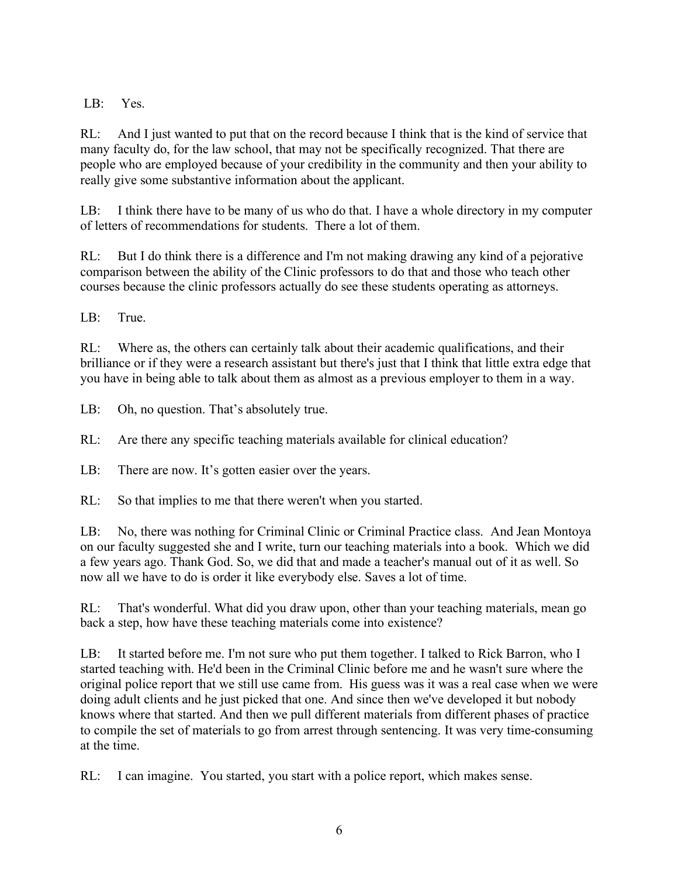LB: Yes.

RL: And I just wanted to put that on the record because I think that is the kind of service that many faculty do, for the law school, that may not be specifically recognized. That there are people who are employed because of your credibility in the community and then your ability to really give some substantive information about the applicant.

LB: I think there have to be many of us who do that. I have a whole directory in my computer of letters of recommendations for students. There a lot of them.

RL: But I do think there is a difference and I'm not making drawing any kind of a pejorative comparison between the ability of the Clinic professors to do that and those who teach other courses because the clinic professors actually do see these students operating as attorneys.

LB: True.

RL: Where as, the others can certainly talk about their academic qualifications, and their brilliance or if they were a research assistant but there's just that I think that little extra edge that you have in being able to talk about them as almost as a previous employer to them in a way.

LB: Oh, no question. That's absolutely true.

RL: Are there any specific teaching materials available for clinical education?

LB: There are now. It's gotten easier over the years.

RL: So that implies to me that there weren't when you started.

LB: No, there was nothing for Criminal Clinic or Criminal Practice class. And Jean Montoya on our faculty suggested she and I write, turn our teaching materials into a book. Which we did a few years ago. Thank God. So, we did that and made a teacher's manual out of it as well. So now all we have to do is order it like everybody else. Saves a lot of time.

RL: That's wonderful. What did you draw upon, other than your teaching materials, mean go back a step, how have these teaching materials come into existence?

LB: It started before me. I'm not sure who put them together. I talked to Rick Barron, who I started teaching with. He'd been in the Criminal Clinic before me and he wasn't sure where the original police report that we still use came from. His guess was it was a real case when we were doing adult clients and he just picked that one. And since then we've developed it but nobody knows where that started. And then we pull different materials from different phases of practice to compile the set of materials to go from arrest through sentencing. It was very time-consuming at the time.

RL: I can imagine. You started, you start with a police report, which makes sense.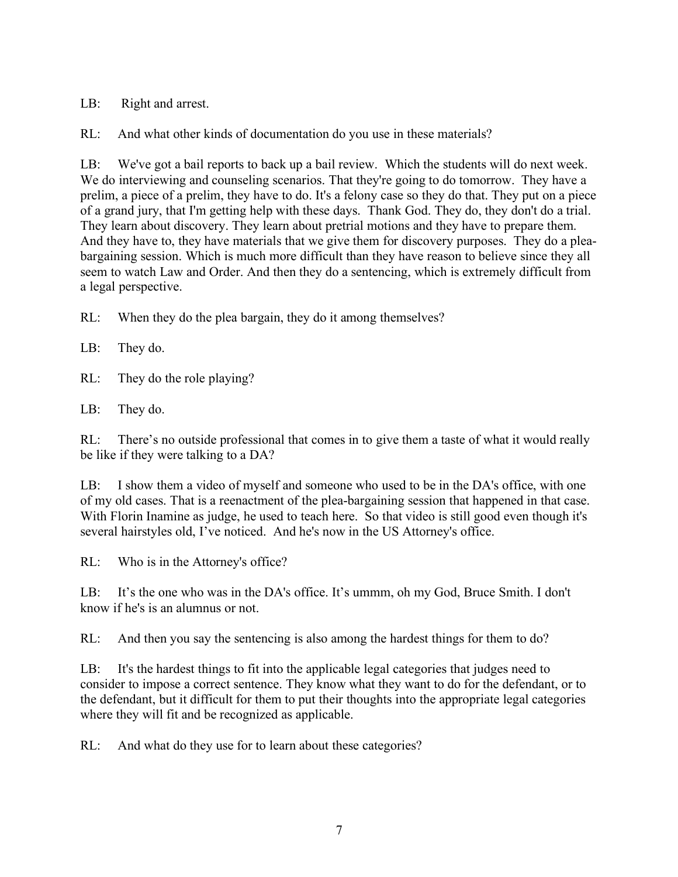LB: Right and arrest.

RL: And what other kinds of documentation do you use in these materials?

LB: We've got a bail reports to back up a bail review. Which the students will do next week. We do interviewing and counseling scenarios. That they're going to do tomorrow. They have a prelim, a piece of a prelim, they have to do. It's a felony case so they do that. They put on a piece of a grand jury, that I'm getting help with these days. Thank God. They do, they don't do a trial. They learn about discovery. They learn about pretrial motions and they have to prepare them. And they have to, they have materials that we give them for discovery purposes. They do a pleabargaining session. Which is much more difficult than they have reason to believe since they all seem to watch Law and Order. And then they do a sentencing, which is extremely difficult from a legal perspective.

RL: When they do the plea bargain, they do it among themselves?

LB: They do.

RL: They do the role playing?

LB: They do.

RL: There's no outside professional that comes in to give them a taste of what it would really be like if they were talking to a DA?

LB: I show them a video of myself and someone who used to be in the DA's office, with one of my old cases. That is a reenactment of the plea-bargaining session that happened in that case. With Florin Inamine as judge, he used to teach here. So that video is still good even though it's several hairstyles old, I've noticed. And he's now in the US Attorney's office.

RL: Who is in the Attorney's office?

LB: It's the one who was in the DA's office. It's ummm, oh my God, Bruce Smith. I don't know if he's is an alumnus or not.

RL: And then you say the sentencing is also among the hardest things for them to do?

LB: It's the hardest things to fit into the applicable legal categories that judges need to consider to impose a correct sentence. They know what they want to do for the defendant, or to the defendant, but it difficult for them to put their thoughts into the appropriate legal categories where they will fit and be recognized as applicable.

RL: And what do they use for to learn about these categories?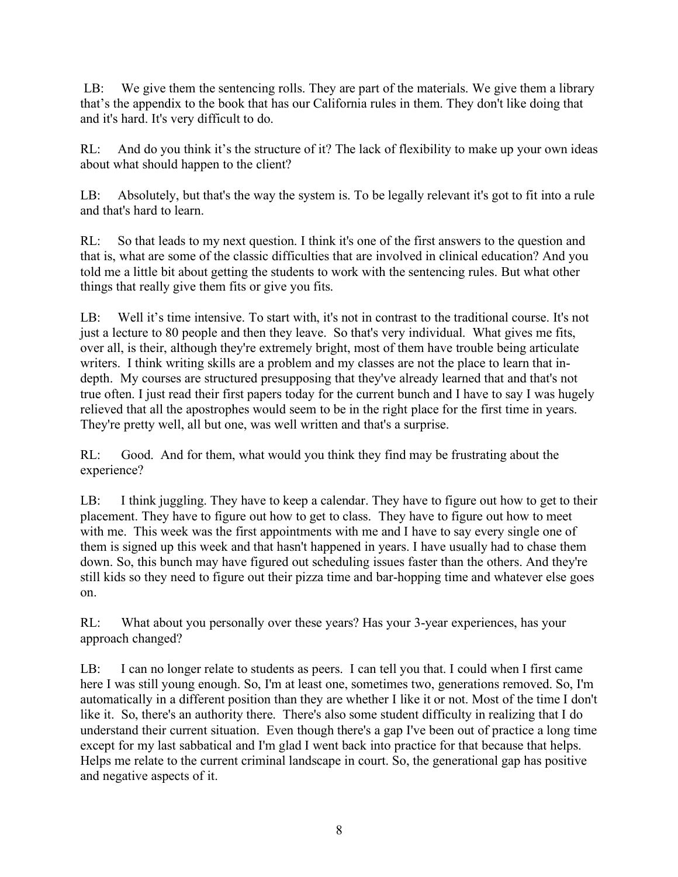LB: We give them the sentencing rolls. They are part of the materials. We give them a library that's the appendix to the book that has our California rules in them. They don't like doing that and it's hard. It's very difficult to do.

RL: And do you think it's the structure of it? The lack of flexibility to make up your own ideas about what should happen to the client?

LB: Absolutely, but that's the way the system is. To be legally relevant it's got to fit into a rule and that's hard to learn.

RL: So that leads to my next question. I think it's one of the first answers to the question and that is, what are some of the classic difficulties that are involved in clinical education? And you told me a little bit about getting the students to work with the sentencing rules. But what other things that really give them fits or give you fits.

LB: Well it's time intensive. To start with, it's not in contrast to the traditional course. It's not just a lecture to 80 people and then they leave. So that's very individual. What gives me fits, over all, is their, although they're extremely bright, most of them have trouble being articulate writers. I think writing skills are a problem and my classes are not the place to learn that indepth. My courses are structured presupposing that they've already learned that and that's not true often. I just read their first papers today for the current bunch and I have to say I was hugely relieved that all the apostrophes would seem to be in the right place for the first time in years. They're pretty well, all but one, was well written and that's a surprise.

RL: Good. And for them, what would you think they find may be frustrating about the experience?

LB: I think juggling. They have to keep a calendar. They have to figure out how to get to their placement. They have to figure out how to get to class. They have to figure out how to meet with me. This week was the first appointments with me and I have to say every single one of them is signed up this week and that hasn't happened in years. I have usually had to chase them down. So, this bunch may have figured out scheduling issues faster than the others. And they're still kids so they need to figure out their pizza time and bar-hopping time and whatever else goes on.

RL: What about you personally over these years? Has your 3-year experiences, has your approach changed?

LB: I can no longer relate to students as peers. I can tell you that. I could when I first came here I was still young enough. So, I'm at least one, sometimes two, generations removed. So, I'm automatically in a different position than they are whether I like it or not. Most of the time I don't like it. So, there's an authority there. There's also some student difficulty in realizing that I do understand their current situation. Even though there's a gap I've been out of practice a long time except for my last sabbatical and I'm glad I went back into practice for that because that helps. Helps me relate to the current criminal landscape in court. So, the generational gap has positive and negative aspects of it.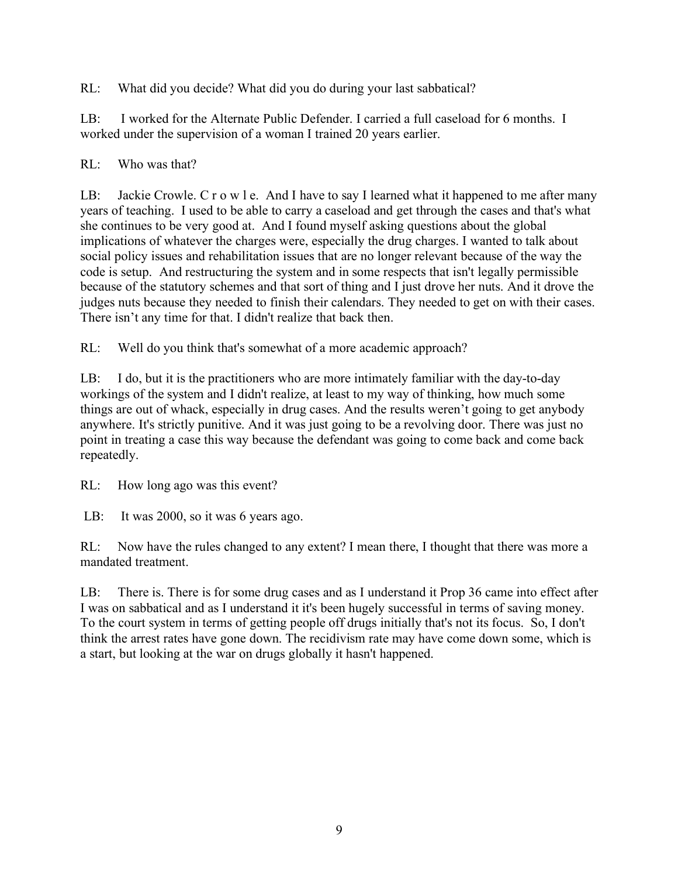RL: What did you decide? What did you do during your last sabbatical?

LB: I worked for the Alternate Public Defender. I carried a full caseload for 6 months. I worked under the supervision of a woman I trained 20 years earlier.

RL: Who was that?

LB: Jackie Crowle. C r o w l e. And I have to say I learned what it happened to me after many years of teaching. I used to be able to carry a caseload and get through the cases and that's what she continues to be very good at. And I found myself asking questions about the global implications of whatever the charges were, especially the drug charges. I wanted to talk about social policy issues and rehabilitation issues that are no longer relevant because of the way the code is setup. And restructuring the system and in some respects that isn't legally permissible because of the statutory schemes and that sort of thing and I just drove her nuts. And it drove the judges nuts because they needed to finish their calendars. They needed to get on with their cases. There isn't any time for that. I didn't realize that back then.

RL: Well do you think that's somewhat of a more academic approach?

LB: I do, but it is the practitioners who are more intimately familiar with the day-to-day workings of the system and I didn't realize, at least to my way of thinking, how much some things are out of whack, especially in drug cases. And the results weren't going to get anybody anywhere. It's strictly punitive. And it was just going to be a revolving door. There was just no point in treating a case this way because the defendant was going to come back and come back repeatedly.

RL: How long ago was this event?

LB: It was 2000, so it was 6 years ago.

RL: Now have the rules changed to any extent? I mean there, I thought that there was more a mandated treatment.

LB: There is. There is for some drug cases and as I understand it Prop 36 came into effect after I was on sabbatical and as I understand it it's been hugely successful in terms of saving money. To the court system in terms of getting people off drugs initially that's not its focus. So, I don't think the arrest rates have gone down. The recidivism rate may have come down some, which is a start, but looking at the war on drugs globally it hasn't happened.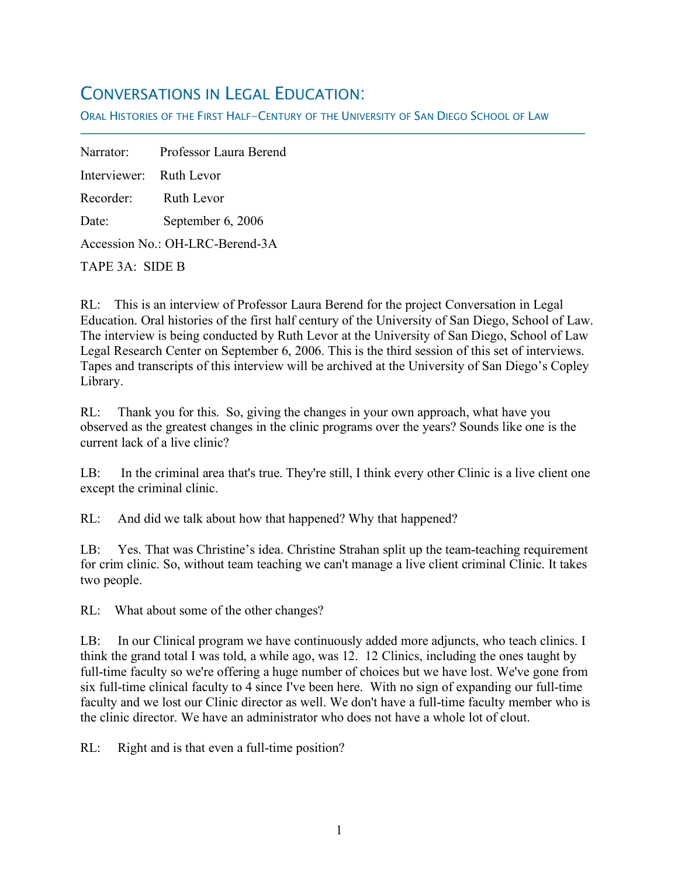## CONVERSATIONS IN LEGAL EDUCATION:

ORAL HISTORIES OF THE FIRST HALF-CENTURY OF THE UNIVERSITY OF SAN DIEGO SCHOOL OF LAW

Narrator: Professor Laura Berend Interviewer: Ruth Levor Recorder: Ruth Levor Date: September 6, 2006 Accession No.: OH-LRC-Berend-3A

TAPE 3A: SIDE B

f

RL: This is an interview of Professor Laura Berend for the project Conversation in Legal Education. Oral histories of the first half century of the University of San Diego, School of Law. The interview is being conducted by Ruth Levor at the University of San Diego, School of Law Legal Research Center on September 6, 2006. This is the third session of this set of interviews. Tapes and transcripts of this interview will be archived at the University of San Diego's Copley Library.

RL: Thank you for this. So, giving the changes in your own approach, what have you observed as the greatest changes in the clinic programs over the years? Sounds like one is the current lack of a live clinic?

LB: In the criminal area that's true. They're still, I think every other Clinic is a live client one except the criminal clinic.

RL: And did we talk about how that happened? Why that happened?

LB: Yes. That was Christine's idea. Christine Strahan split up the team-teaching requirement for crim clinic. So, without team teaching we can't manage a live client criminal Clinic. It takes two people.

RL: What about some of the other changes?

LB: In our Clinical program we have continuously added more adjuncts, who teach clinics. I think the grand total I was told, a while ago, was 12. 12 Clinics, including the ones taught by full-time faculty so we're offering a huge number of choices but we have lost. We've gone from six full-time clinical faculty to 4 since I've been here. With no sign of expanding our full-time faculty and we lost our Clinic director as well. We don't have a full-time faculty member who is the clinic director. We have an administrator who does not have a whole lot of clout.

RL: Right and is that even a full-time position?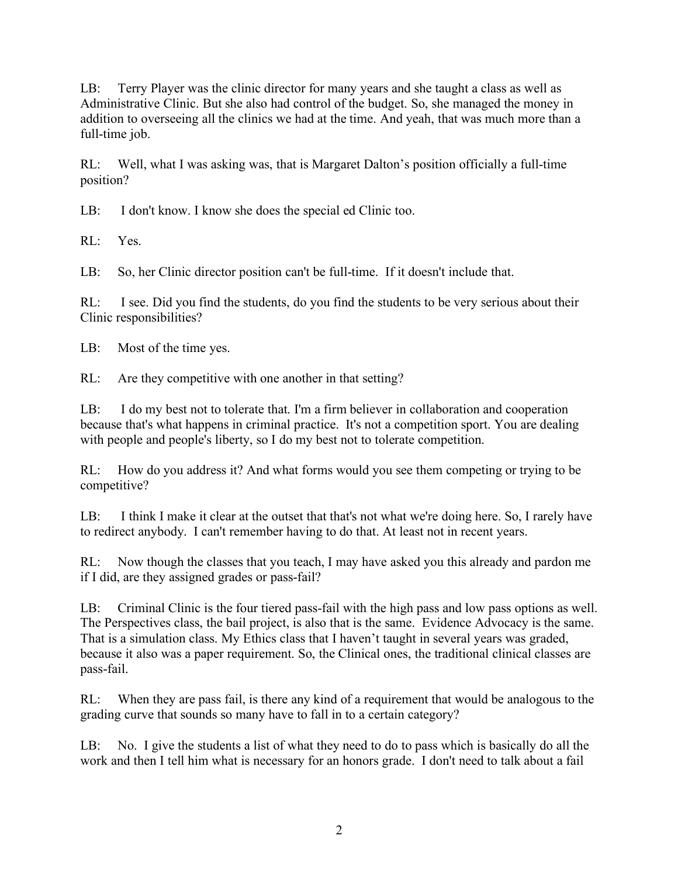LB: Terry Player was the clinic director for many years and she taught a class as well as Administrative Clinic. But she also had control of the budget. So, she managed the money in addition to overseeing all the clinics we had at the time. And yeah, that was much more than a full-time job.

RL: Well, what I was asking was, that is Margaret Dalton's position officially a full-time position?

LB: I don't know. I know she does the special ed Clinic too.

RL: Yes.

LB: So, her Clinic director position can't be full-time. If it doesn't include that.

RL: I see. Did you find the students, do you find the students to be very serious about their Clinic responsibilities?

LB: Most of the time yes.

RL: Are they competitive with one another in that setting?

LB: I do my best not to tolerate that. I'm a firm believer in collaboration and cooperation because that's what happens in criminal practice. It's not a competition sport. You are dealing with people and people's liberty, so I do my best not to tolerate competition.

RL: How do you address it? And what forms would you see them competing or trying to be competitive?

LB: I think I make it clear at the outset that that's not what we're doing here. So, I rarely have to redirect anybody. I can't remember having to do that. At least not in recent years.

RL: Now though the classes that you teach, I may have asked you this already and pardon me if I did, are they assigned grades or pass-fail?

LB: Criminal Clinic is the four tiered pass-fail with the high pass and low pass options as well. The Perspectives class, the bail project, is also that is the same. Evidence Advocacy is the same. That is a simulation class. My Ethics class that I haven't taught in several years was graded, because it also was a paper requirement. So, the Clinical ones, the traditional clinical classes are pass-fail.

RL: When they are pass fail, is there any kind of a requirement that would be analogous to the grading curve that sounds so many have to fall in to a certain category?

LB: No. I give the students a list of what they need to do to pass which is basically do all the work and then I tell him what is necessary for an honors grade. I don't need to talk about a fail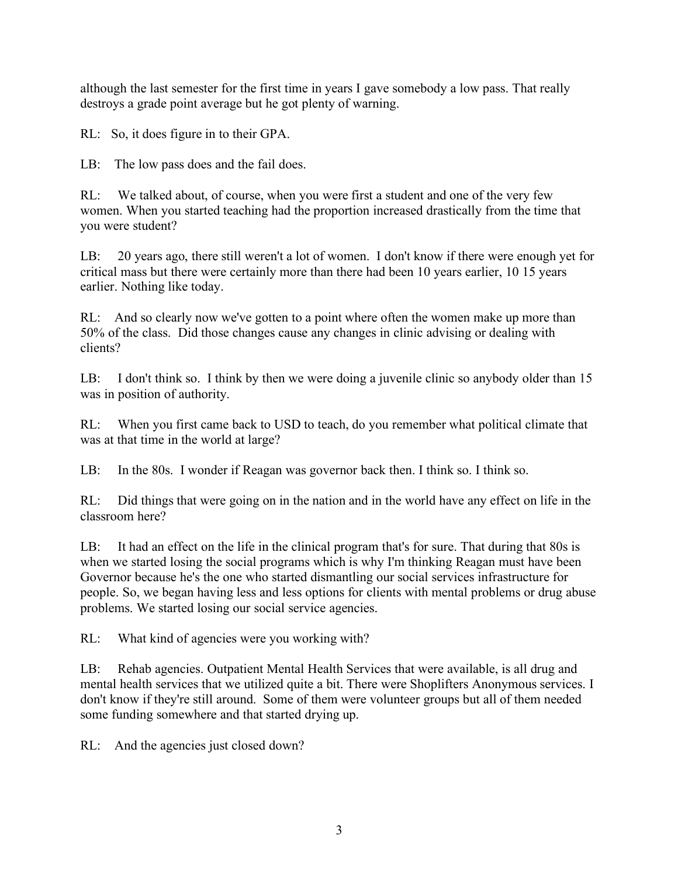although the last semester for the first time in years I gave somebody a low pass. That really destroys a grade point average but he got plenty of warning.

RL: So, it does figure in to their GPA.

LB: The low pass does and the fail does.

RL: We talked about, of course, when you were first a student and one of the very few women. When you started teaching had the proportion increased drastically from the time that you were student?

LB: 20 years ago, there still weren't a lot of women. I don't know if there were enough yet for critical mass but there were certainly more than there had been 10 years earlier, 10 15 years earlier. Nothing like today.

RL: And so clearly now we've gotten to a point where often the women make up more than 50% of the class. Did those changes cause any changes in clinic advising or dealing with clients?

LB: I don't think so. I think by then we were doing a juvenile clinic so anybody older than 15 was in position of authority.

RL: When you first came back to USD to teach, do you remember what political climate that was at that time in the world at large?

LB: In the 80s. I wonder if Reagan was governor back then. I think so. I think so.

RL: Did things that were going on in the nation and in the world have any effect on life in the classroom here?

LB: It had an effect on the life in the clinical program that's for sure. That during that 80s is when we started losing the social programs which is why I'm thinking Reagan must have been Governor because he's the one who started dismantling our social services infrastructure for people. So, we began having less and less options for clients with mental problems or drug abuse problems. We started losing our social service agencies.

RL: What kind of agencies were you working with?

LB: Rehab agencies. Outpatient Mental Health Services that were available, is all drug and mental health services that we utilized quite a bit. There were Shoplifters Anonymous services. I don't know if they're still around. Some of them were volunteer groups but all of them needed some funding somewhere and that started drying up.

RL: And the agencies just closed down?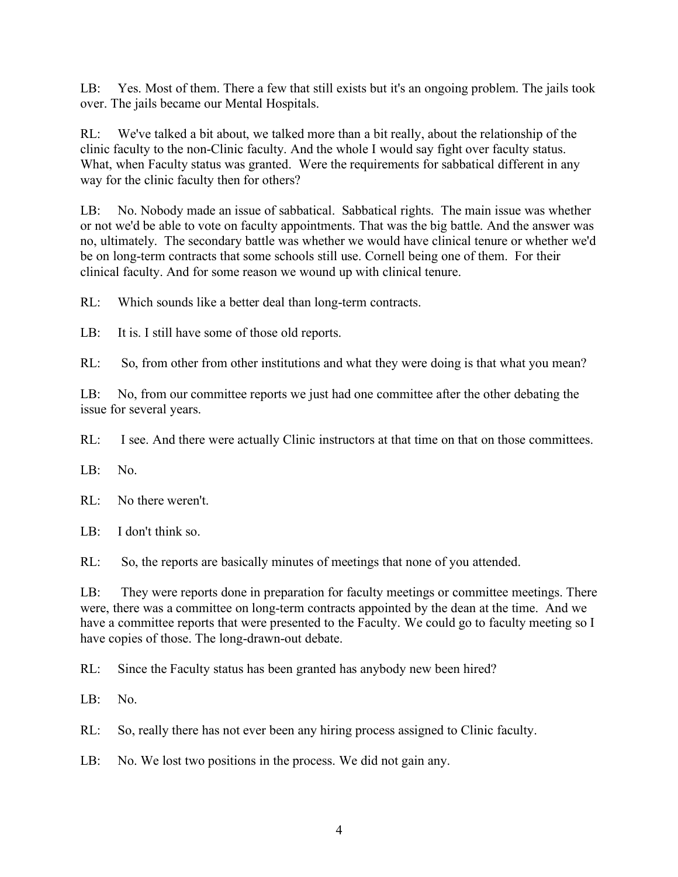LB: Yes. Most of them. There a few that still exists but it's an ongoing problem. The jails took over. The jails became our Mental Hospitals.

RL: We've talked a bit about, we talked more than a bit really, about the relationship of the clinic faculty to the non-Clinic faculty. And the whole I would say fight over faculty status. What, when Faculty status was granted. Were the requirements for sabbatical different in any way for the clinic faculty then for others?

LB: No. Nobody made an issue of sabbatical. Sabbatical rights. The main issue was whether or not we'd be able to vote on faculty appointments. That was the big battle. And the answer was no, ultimately. The secondary battle was whether we would have clinical tenure or whether we'd be on long-term contracts that some schools still use. Cornell being one of them. For their clinical faculty. And for some reason we wound up with clinical tenure.

RL: Which sounds like a better deal than long-term contracts.

LB: It is. I still have some of those old reports.

RL: So, from other from other institutions and what they were doing is that what you mean?

LB: No, from our committee reports we just had one committee after the other debating the issue for several years.

RL: I see. And there were actually Clinic instructors at that time on that on those committees.

LB: No.

RL: No there weren't.

LB: I don't think so.

RL: So, the reports are basically minutes of meetings that none of you attended.

LB: They were reports done in preparation for faculty meetings or committee meetings. There were, there was a committee on long-term contracts appointed by the dean at the time. And we have a committee reports that were presented to the Faculty. We could go to faculty meeting so I have copies of those. The long-drawn-out debate.

RL: Since the Faculty status has been granted has anybody new been hired?

LB: No.

RL: So, really there has not ever been any hiring process assigned to Clinic faculty.

LB: No. We lost two positions in the process. We did not gain any.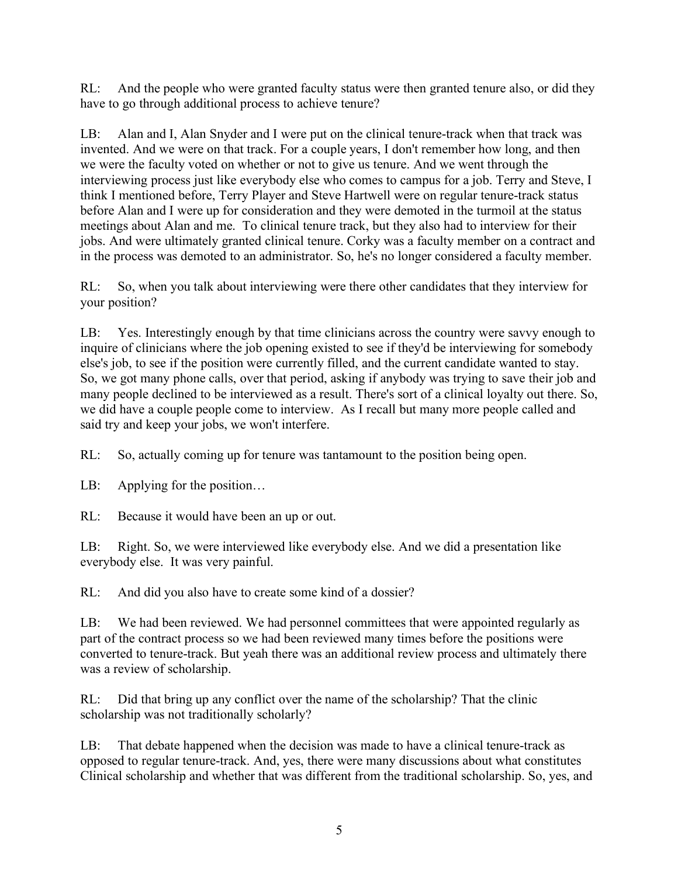RL: And the people who were granted faculty status were then granted tenure also, or did they have to go through additional process to achieve tenure?

LB: Alan and I, Alan Snyder and I were put on the clinical tenure-track when that track was invented. And we were on that track. For a couple years, I don't remember how long, and then we were the faculty voted on whether or not to give us tenure. And we went through the interviewing process just like everybody else who comes to campus for a job. Terry and Steve, I think I mentioned before, Terry Player and Steve Hartwell were on regular tenure-track status before Alan and I were up for consideration and they were demoted in the turmoil at the status meetings about Alan and me. To clinical tenure track, but they also had to interview for their jobs. And were ultimately granted clinical tenure. Corky was a faculty member on a contract and in the process was demoted to an administrator. So, he's no longer considered a faculty member.

RL: So, when you talk about interviewing were there other candidates that they interview for your position?

LB: Yes. Interestingly enough by that time clinicians across the country were savvy enough to inquire of clinicians where the job opening existed to see if they'd be interviewing for somebody else's job, to see if the position were currently filled, and the current candidate wanted to stay. So, we got many phone calls, over that period, asking if anybody was trying to save their job and many people declined to be interviewed as a result. There's sort of a clinical loyalty out there. So, we did have a couple people come to interview. As I recall but many more people called and said try and keep your jobs, we won't interfere.

RL: So, actually coming up for tenure was tantamount to the position being open.

LB: Applying for the position...

RL: Because it would have been an up or out.

LB: Right. So, we were interviewed like everybody else. And we did a presentation like everybody else. It was very painful.

RL: And did you also have to create some kind of a dossier?

LB: We had been reviewed. We had personnel committees that were appointed regularly as part of the contract process so we had been reviewed many times before the positions were converted to tenure-track. But yeah there was an additional review process and ultimately there was a review of scholarship.

RL: Did that bring up any conflict over the name of the scholarship? That the clinic scholarship was not traditionally scholarly?

LB: That debate happened when the decision was made to have a clinical tenure-track as opposed to regular tenure-track. And, yes, there were many discussions about what constitutes Clinical scholarship and whether that was different from the traditional scholarship. So, yes, and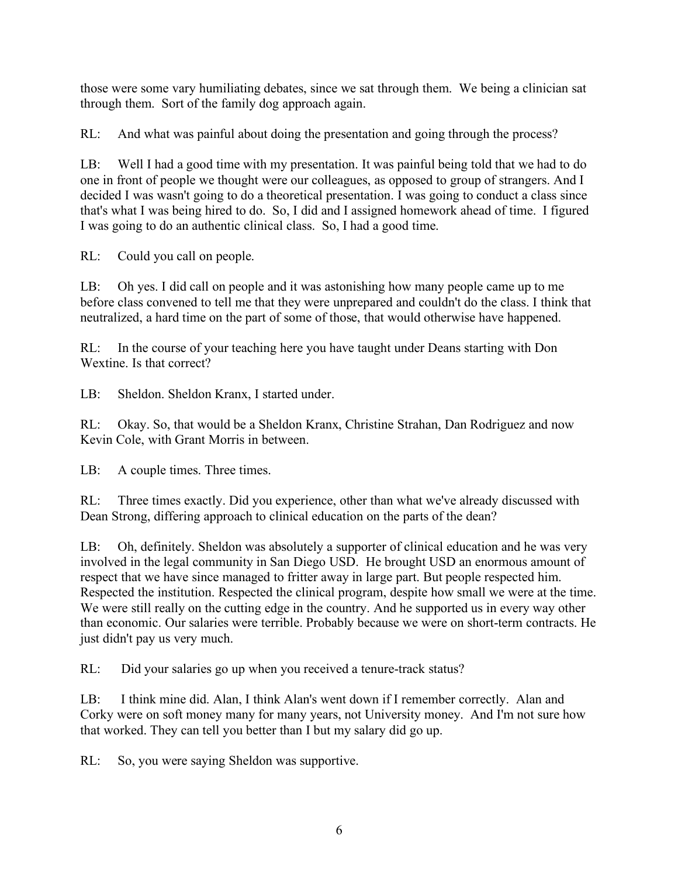those were some vary humiliating debates, since we sat through them. We being a clinician sat through them. Sort of the family dog approach again.

RL: And what was painful about doing the presentation and going through the process?

LB: Well I had a good time with my presentation. It was painful being told that we had to do one in front of people we thought were our colleagues, as opposed to group of strangers. And I decided I was wasn't going to do a theoretical presentation. I was going to conduct a class since that's what I was being hired to do. So, I did and I assigned homework ahead of time. I figured I was going to do an authentic clinical class. So, I had a good time.

RL: Could you call on people.

LB: Oh yes. I did call on people and it was astonishing how many people came up to me before class convened to tell me that they were unprepared and couldn't do the class. I think that neutralized, a hard time on the part of some of those, that would otherwise have happened.

RL: In the course of your teaching here you have taught under Deans starting with Don Wextine. Is that correct?

LB: Sheldon. Sheldon Kranx, I started under.

RL: Okay. So, that would be a Sheldon Kranx, Christine Strahan, Dan Rodriguez and now Kevin Cole, with Grant Morris in between.

LB: A couple times. Three times.

RL: Three times exactly. Did you experience, other than what we've already discussed with Dean Strong, differing approach to clinical education on the parts of the dean?

LB: Oh, definitely. Sheldon was absolutely a supporter of clinical education and he was very involved in the legal community in San Diego USD. He brought USD an enormous amount of respect that we have since managed to fritter away in large part. But people respected him. Respected the institution. Respected the clinical program, despite how small we were at the time. We were still really on the cutting edge in the country. And he supported us in every way other than economic. Our salaries were terrible. Probably because we were on short-term contracts. He just didn't pay us very much.

RL: Did your salaries go up when you received a tenure-track status?

LB: I think mine did. Alan, I think Alan's went down if I remember correctly. Alan and Corky were on soft money many for many years, not University money. And I'm not sure how that worked. They can tell you better than I but my salary did go up.

RL: So, you were saying Sheldon was supportive.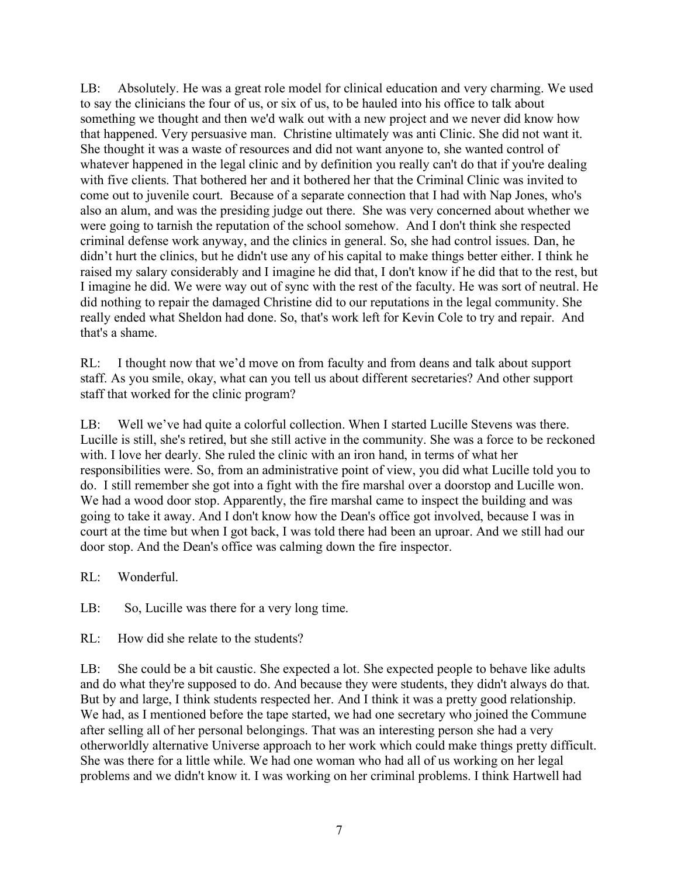LB: Absolutely. He was a great role model for clinical education and very charming. We used to say the clinicians the four of us, or six of us, to be hauled into his office to talk about something we thought and then we'd walk out with a new project and we never did know how that happened. Very persuasive man. Christine ultimately was anti Clinic. She did not want it. She thought it was a waste of resources and did not want anyone to, she wanted control of whatever happened in the legal clinic and by definition you really can't do that if you're dealing with five clients. That bothered her and it bothered her that the Criminal Clinic was invited to come out to juvenile court. Because of a separate connection that I had with Nap Jones, who's also an alum, and was the presiding judge out there. She was very concerned about whether we were going to tarnish the reputation of the school somehow. And I don't think she respected criminal defense work anyway, and the clinics in general. So, she had control issues. Dan, he didn't hurt the clinics, but he didn't use any of his capital to make things better either. I think he raised my salary considerably and I imagine he did that, I don't know if he did that to the rest, but I imagine he did. We were way out of sync with the rest of the faculty. He was sort of neutral. He did nothing to repair the damaged Christine did to our reputations in the legal community. She really ended what Sheldon had done. So, that's work left for Kevin Cole to try and repair. And that's a shame.

RL: I thought now that we'd move on from faculty and from deans and talk about support staff. As you smile, okay, what can you tell us about different secretaries? And other support staff that worked for the clinic program?

LB: Well we've had quite a colorful collection. When I started Lucille Stevens was there. Lucille is still, she's retired, but she still active in the community. She was a force to be reckoned with. I love her dearly. She ruled the clinic with an iron hand, in terms of what her responsibilities were. So, from an administrative point of view, you did what Lucille told you to do. I still remember she got into a fight with the fire marshal over a doorstop and Lucille won. We had a wood door stop. Apparently, the fire marshal came to inspect the building and was going to take it away. And I don't know how the Dean's office got involved, because I was in court at the time but when I got back, I was told there had been an uproar. And we still had our door stop. And the Dean's office was calming down the fire inspector.

RL: Wonderful.

LB: So, Lucille was there for a very long time.

RL: How did she relate to the students?

LB: She could be a bit caustic. She expected a lot. She expected people to behave like adults and do what they're supposed to do. And because they were students, they didn't always do that. But by and large, I think students respected her. And I think it was a pretty good relationship. We had, as I mentioned before the tape started, we had one secretary who joined the Commune after selling all of her personal belongings. That was an interesting person she had a very otherworldly alternative Universe approach to her work which could make things pretty difficult. She was there for a little while. We had one woman who had all of us working on her legal problems and we didn't know it. I was working on her criminal problems. I think Hartwell had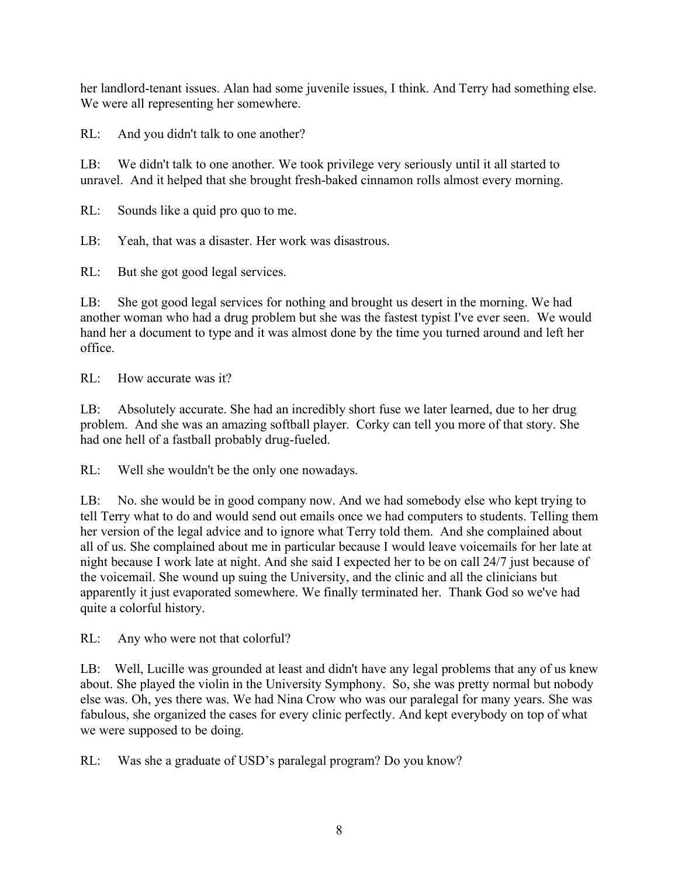her landlord-tenant issues. Alan had some juvenile issues, I think. And Terry had something else. We were all representing her somewhere.

RL: And you didn't talk to one another?

LB: We didn't talk to one another. We took privilege very seriously until it all started to unravel. And it helped that she brought fresh-baked cinnamon rolls almost every morning.

RL: Sounds like a quid pro quo to me.

LB: Yeah, that was a disaster. Her work was disastrous.

RL: But she got good legal services.

LB: She got good legal services for nothing and brought us desert in the morning. We had another woman who had a drug problem but she was the fastest typist I've ever seen. We would hand her a document to type and it was almost done by the time you turned around and left her office.

RL: How accurate was it?

LB: Absolutely accurate. She had an incredibly short fuse we later learned, due to her drug problem. And she was an amazing softball player. Corky can tell you more of that story. She had one hell of a fastball probably drug-fueled.

RL: Well she wouldn't be the only one nowadays.

LB: No. she would be in good company now. And we had somebody else who kept trying to tell Terry what to do and would send out emails once we had computers to students. Telling them her version of the legal advice and to ignore what Terry told them. And she complained about all of us. She complained about me in particular because I would leave voicemails for her late at night because I work late at night. And she said I expected her to be on call 24/7 just because of the voicemail. She wound up suing the University, and the clinic and all the clinicians but apparently it just evaporated somewhere. We finally terminated her. Thank God so we've had quite a colorful history.

RL: Any who were not that colorful?

LB: Well, Lucille was grounded at least and didn't have any legal problems that any of us knew about. She played the violin in the University Symphony. So, she was pretty normal but nobody else was. Oh, yes there was. We had Nina Crow who was our paralegal for many years. She was fabulous, she organized the cases for every clinic perfectly. And kept everybody on top of what we were supposed to be doing.

RL: Was she a graduate of USD's paralegal program? Do you know?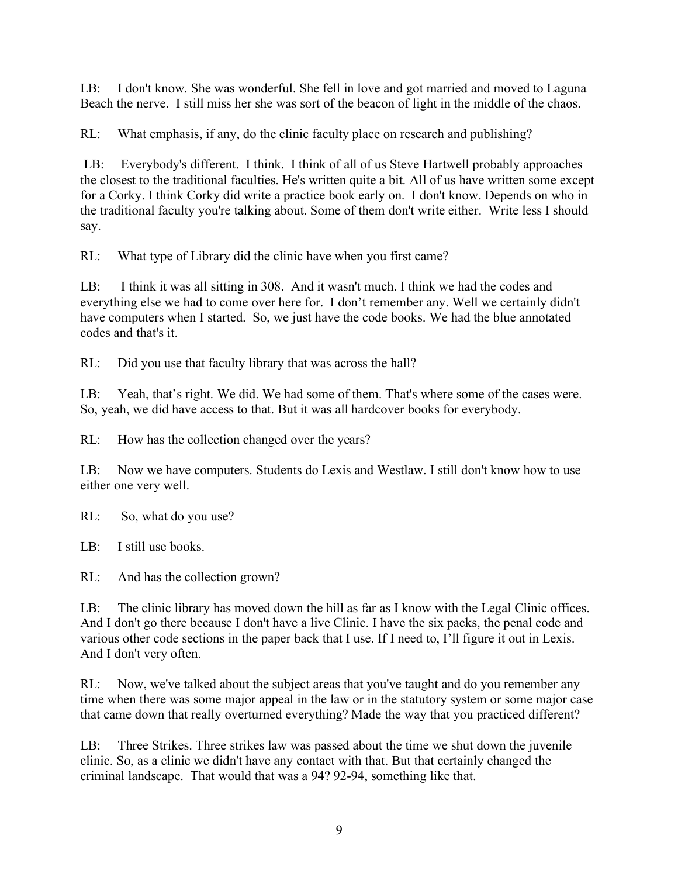LB: I don't know. She was wonderful. She fell in love and got married and moved to Laguna Beach the nerve. I still miss her she was sort of the beacon of light in the middle of the chaos.

RL: What emphasis, if any, do the clinic faculty place on research and publishing?

LB: Everybody's different. I think. I think of all of us Steve Hartwell probably approaches the closest to the traditional faculties. He's written quite a bit. All of us have written some except for a Corky. I think Corky did write a practice book early on. I don't know. Depends on who in the traditional faculty you're talking about. Some of them don't write either. Write less I should say.

RL: What type of Library did the clinic have when you first came?

LB: I think it was all sitting in 308. And it wasn't much. I think we had the codes and everything else we had to come over here for. I don't remember any. Well we certainly didn't have computers when I started. So, we just have the code books. We had the blue annotated codes and that's it.

RL: Did you use that faculty library that was across the hall?

LB: Yeah, that's right. We did. We had some of them. That's where some of the cases were. So, yeah, we did have access to that. But it was all hardcover books for everybody.

RL: How has the collection changed over the years?

LB: Now we have computers. Students do Lexis and Westlaw. I still don't know how to use either one very well.

RL: So, what do you use?

LB: I still use books.

RL: And has the collection grown?

LB: The clinic library has moved down the hill as far as I know with the Legal Clinic offices. And I don't go there because I don't have a live Clinic. I have the six packs, the penal code and various other code sections in the paper back that I use. If I need to, I'll figure it out in Lexis. And I don't very often.

RL: Now, we've talked about the subject areas that you've taught and do you remember any time when there was some major appeal in the law or in the statutory system or some major case that came down that really overturned everything? Made the way that you practiced different?

LB: Three Strikes. Three strikes law was passed about the time we shut down the juvenile clinic. So, as a clinic we didn't have any contact with that. But that certainly changed the criminal landscape. That would that was a 94? 92-94, something like that.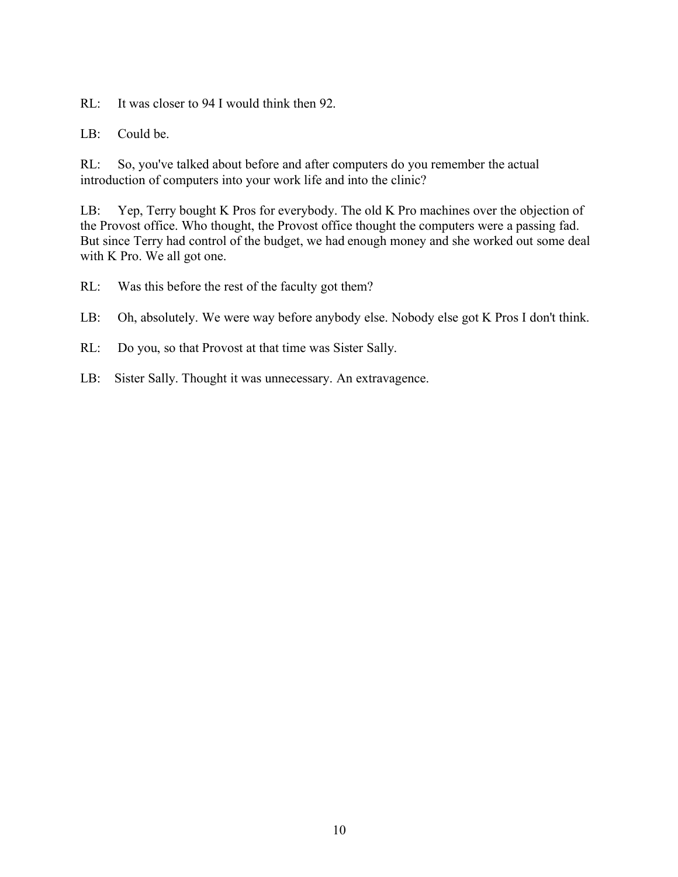RL: It was closer to 94 I would think then 92.

LB: Could be.

RL: So, you've talked about before and after computers do you remember the actual introduction of computers into your work life and into the clinic?

LB: Yep, Terry bought K Pros for everybody. The old K Pro machines over the objection of the Provost office. Who thought, the Provost office thought the computers were a passing fad. But since Terry had control of the budget, we had enough money and she worked out some deal with K Pro. We all got one.

- RL: Was this before the rest of the faculty got them?
- LB: Oh, absolutely. We were way before anybody else. Nobody else got K Pros I don't think.
- RL: Do you, so that Provost at that time was Sister Sally.
- LB: Sister Sally. Thought it was unnecessary. An extravagence.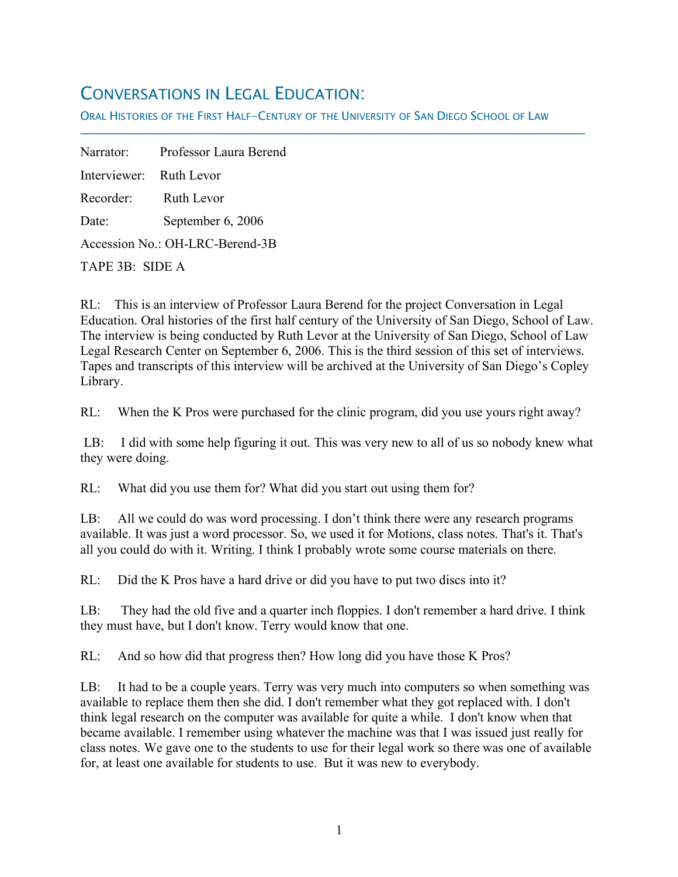## CONVERSATIONS IN LEGAL EDUCATION:

ORAL HISTORIES OF THE FIRST HALF-CENTURY OF THE UNIVERSITY OF SAN DIEGO SCHOOL OF LAW

Narrator: Professor Laura Berend Interviewer: Ruth Levor Recorder: Ruth Levor Date: September 6, 2006 Accession No.: OH-LRC-Berend-3B TAPE 3B: SIDE A

f

RL: This is an interview of Professor Laura Berend for the project Conversation in Legal Education. Oral histories of the first half century of the University of San Diego, School of Law. The interview is being conducted by Ruth Levor at the University of San Diego, School of Law Legal Research Center on September 6, 2006. This is the third session of this set of interviews. Tapes and transcripts of this interview will be archived at the University of San Diego's Copley Library.

RL: When the K Pros were purchased for the clinic program, did you use yours right away?

LB: I did with some help figuring it out. This was very new to all of us so nobody knew what they were doing.

RL: What did you use them for? What did you start out using them for?

LB: All we could do was word processing. I don't think there were any research programs available. It was just a word processor. So, we used it for Motions, class notes. That's it. That's all you could do with it. Writing. I think I probably wrote some course materials on there.

RL: Did the K Pros have a hard drive or did you have to put two discs into it?

LB: They had the old five and a quarter inch floppies. I don't remember a hard drive. I think they must have, but I don't know. Terry would know that one.

RL: And so how did that progress then? How long did you have those K Pros?

LB: It had to be a couple years. Terry was very much into computers so when something was available to replace them then she did. I don't remember what they got replaced with. I don't think legal research on the computer was available for quite a while. I don't know when that became available. I remember using whatever the machine was that I was issued just really for class notes. We gave one to the students to use for their legal work so there was one of available for, at least one available for students to use. But it was new to everybody.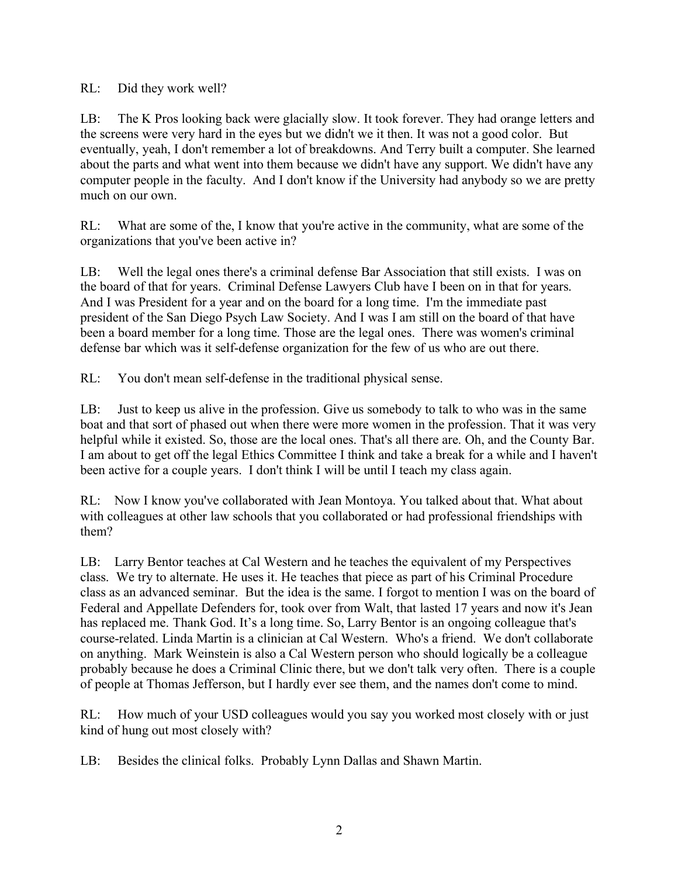RL: Did they work well?

LB: The K Pros looking back were glacially slow. It took forever. They had orange letters and the screens were very hard in the eyes but we didn't we it then. It was not a good color. But eventually, yeah, I don't remember a lot of breakdowns. And Terry built a computer. She learned about the parts and what went into them because we didn't have any support. We didn't have any computer people in the faculty. And I don't know if the University had anybody so we are pretty much on our own.

RL: What are some of the, I know that you're active in the community, what are some of the organizations that you've been active in?

LB: Well the legal ones there's a criminal defense Bar Association that still exists. I was on the board of that for years. Criminal Defense Lawyers Club have I been on in that for years. And I was President for a year and on the board for a long time. I'm the immediate past president of the San Diego Psych Law Society. And I was I am still on the board of that have been a board member for a long time. Those are the legal ones. There was women's criminal defense bar which was it self-defense organization for the few of us who are out there.

RL: You don't mean self-defense in the traditional physical sense.

LB: Just to keep us alive in the profession. Give us somebody to talk to who was in the same boat and that sort of phased out when there were more women in the profession. That it was very helpful while it existed. So, those are the local ones. That's all there are. Oh, and the County Bar. I am about to get off the legal Ethics Committee I think and take a break for a while and I haven't been active for a couple years. I don't think I will be until I teach my class again.

RL: Now I know you've collaborated with Jean Montoya. You talked about that. What about with colleagues at other law schools that you collaborated or had professional friendships with them?

LB: Larry Bentor teaches at Cal Western and he teaches the equivalent of my Perspectives class. We try to alternate. He uses it. He teaches that piece as part of his Criminal Procedure class as an advanced seminar. But the idea is the same. I forgot to mention I was on the board of Federal and Appellate Defenders for, took over from Walt, that lasted 17 years and now it's Jean has replaced me. Thank God. It's a long time. So, Larry Bentor is an ongoing colleague that's course-related. Linda Martin is a clinician at Cal Western. Who's a friend. We don't collaborate on anything. Mark Weinstein is also a Cal Western person who should logically be a colleague probably because he does a Criminal Clinic there, but we don't talk very often. There is a couple of people at Thomas Jefferson, but I hardly ever see them, and the names don't come to mind.

RL: How much of your USD colleagues would you say you worked most closely with or just kind of hung out most closely with?

LB: Besides the clinical folks. Probably Lynn Dallas and Shawn Martin.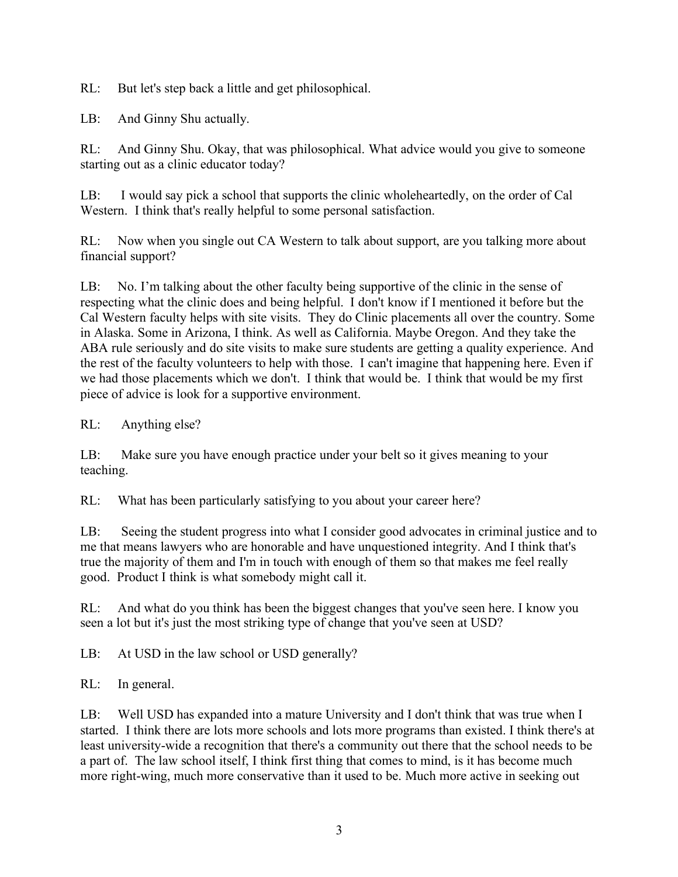RL: But let's step back a little and get philosophical.

LB: And Ginny Shu actually.

RL: And Ginny Shu. Okay, that was philosophical. What advice would you give to someone starting out as a clinic educator today?

LB: I would say pick a school that supports the clinic wholeheartedly, on the order of Cal Western. I think that's really helpful to some personal satisfaction.

RL: Now when you single out CA Western to talk about support, are you talking more about financial support?

LB: No. I'm talking about the other faculty being supportive of the clinic in the sense of respecting what the clinic does and being helpful. I don't know if I mentioned it before but the Cal Western faculty helps with site visits. They do Clinic placements all over the country. Some in Alaska. Some in Arizona, I think. As well as California. Maybe Oregon. And they take the ABA rule seriously and do site visits to make sure students are getting a quality experience. And the rest of the faculty volunteers to help with those. I can't imagine that happening here. Even if we had those placements which we don't. I think that would be. I think that would be my first piece of advice is look for a supportive environment.

RL: Anything else?

LB: Make sure you have enough practice under your belt so it gives meaning to your teaching.

RL: What has been particularly satisfying to you about your career here?

LB: Seeing the student progress into what I consider good advocates in criminal justice and to me that means lawyers who are honorable and have unquestioned integrity. And I think that's true the majority of them and I'm in touch with enough of them so that makes me feel really good. Product I think is what somebody might call it.

RL: And what do you think has been the biggest changes that you've seen here. I know you seen a lot but it's just the most striking type of change that you've seen at USD?

LB: At USD in the law school or USD generally?

RL: In general.

LB: Well USD has expanded into a mature University and I don't think that was true when I started. I think there are lots more schools and lots more programs than existed. I think there's at least university-wide a recognition that there's a community out there that the school needs to be a part of. The law school itself, I think first thing that comes to mind, is it has become much more right-wing, much more conservative than it used to be. Much more active in seeking out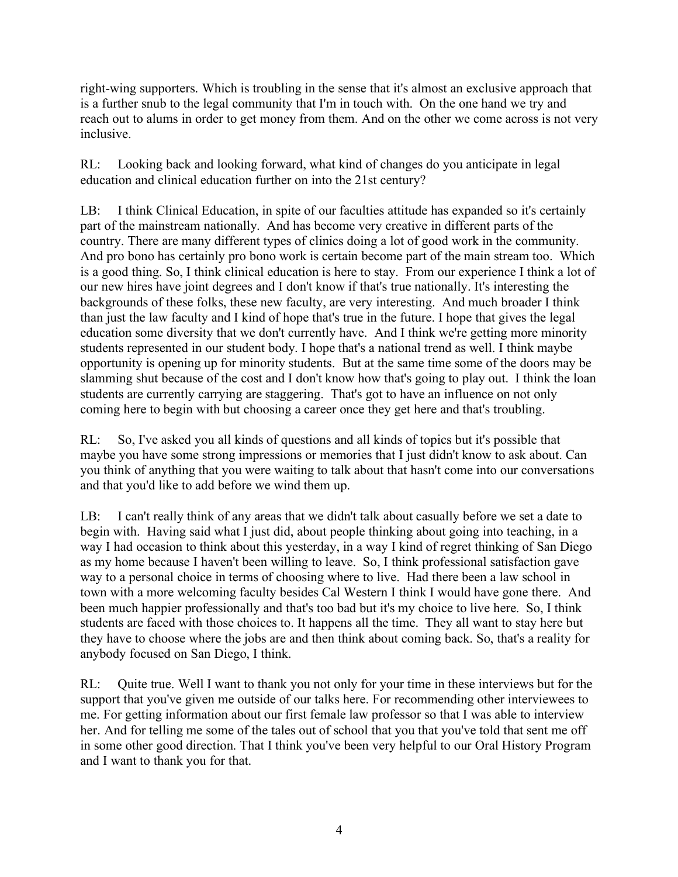right-wing supporters. Which is troubling in the sense that it's almost an exclusive approach that is a further snub to the legal community that I'm in touch with. On the one hand we try and reach out to alums in order to get money from them. And on the other we come across is not very inclusive.

RL: Looking back and looking forward, what kind of changes do you anticipate in legal education and clinical education further on into the 21st century?

LB: I think Clinical Education, in spite of our faculties attitude has expanded so it's certainly part of the mainstream nationally. And has become very creative in different parts of the country. There are many different types of clinics doing a lot of good work in the community. And pro bono has certainly pro bono work is certain become part of the main stream too. Which is a good thing. So, I think clinical education is here to stay. From our experience I think a lot of our new hires have joint degrees and I don't know if that's true nationally. It's interesting the backgrounds of these folks, these new faculty, are very interesting. And much broader I think than just the law faculty and I kind of hope that's true in the future. I hope that gives the legal education some diversity that we don't currently have. And I think we're getting more minority students represented in our student body. I hope that's a national trend as well. I think maybe opportunity is opening up for minority students. But at the same time some of the doors may be slamming shut because of the cost and I don't know how that's going to play out. I think the loan students are currently carrying are staggering. That's got to have an influence on not only coming here to begin with but choosing a career once they get here and that's troubling.

RL: So, I've asked you all kinds of questions and all kinds of topics but it's possible that maybe you have some strong impressions or memories that I just didn't know to ask about. Can you think of anything that you were waiting to talk about that hasn't come into our conversations and that you'd like to add before we wind them up.

LB: I can't really think of any areas that we didn't talk about casually before we set a date to begin with. Having said what I just did, about people thinking about going into teaching, in a way I had occasion to think about this yesterday, in a way I kind of regret thinking of San Diego as my home because I haven't been willing to leave. So, I think professional satisfaction gave way to a personal choice in terms of choosing where to live. Had there been a law school in town with a more welcoming faculty besides Cal Western I think I would have gone there. And been much happier professionally and that's too bad but it's my choice to live here. So, I think students are faced with those choices to. It happens all the time. They all want to stay here but they have to choose where the jobs are and then think about coming back. So, that's a reality for anybody focused on San Diego, I think.

RL: Quite true. Well I want to thank you not only for your time in these interviews but for the support that you've given me outside of our talks here. For recommending other interviewees to me. For getting information about our first female law professor so that I was able to interview her. And for telling me some of the tales out of school that you that you've told that sent me off in some other good direction. That I think you've been very helpful to our Oral History Program and I want to thank you for that.